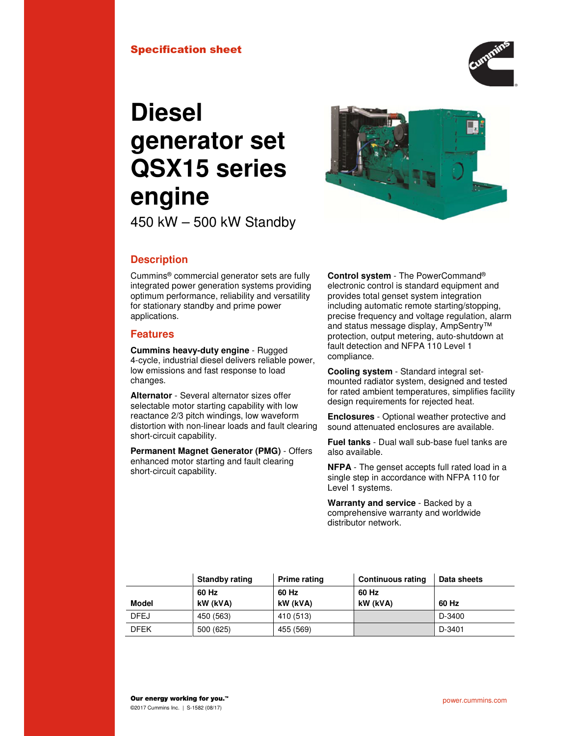

# **Diesel generator set QSX15 series engine**



450 kW – 500 kW Standby

## **Description**

Cummins® commercial generator sets are fully integrated power generation systems providing optimum performance, reliability and versatility for stationary standby and prime power applications.

### **Features**

**Cummins heavy-duty engine** - Rugged 4-cycle, industrial diesel delivers reliable power, low emissions and fast response to load changes.

**Alternator** - Several alternator sizes offer selectable motor starting capability with low reactance 2/3 pitch windings, low waveform distortion with non-linear loads and fault clearing short-circuit capability.

**Permanent Magnet Generator (PMG)** - Offers enhanced motor starting and fault clearing short-circuit capability.

**Control system** - The PowerCommand® electronic control is standard equipment and provides total genset system integration including automatic remote starting/stopping, precise frequency and voltage regulation, alarm and status message display, AmpSentry™ protection, output metering, auto-shutdown at fault detection and NFPA 110 Level 1 compliance.

**Cooling system** - Standard integral setmounted radiator system, designed and tested for rated ambient temperatures, simplifies facility design requirements for rejected heat.

**Enclosures** - Optional weather protective and sound attenuated enclosures are available.

**Fuel tanks** - Dual wall sub-base fuel tanks are also available.

**NFPA** - The genset accepts full rated load in a single step in accordance with NFPA 110 for Level 1 systems.

**Warranty and service** - Backed by a comprehensive warranty and worldwide distributor network.

|             | <b>Standby rating</b> | Prime rating | <b>Continuous rating</b> | Data sheets |
|-------------|-----------------------|--------------|--------------------------|-------------|
|             | 60 Hz                 | 60 Hz        | 60 Hz                    |             |
| Model       | kW (kVA)              | kW (kVA)     | kW (kVA)                 | 60 Hz       |
| <b>DFEJ</b> | 450 (563)             | 410 (513)    |                          | D-3400      |
| <b>DFEK</b> | 500 (625)             | 455 (569)    |                          | D-3401      |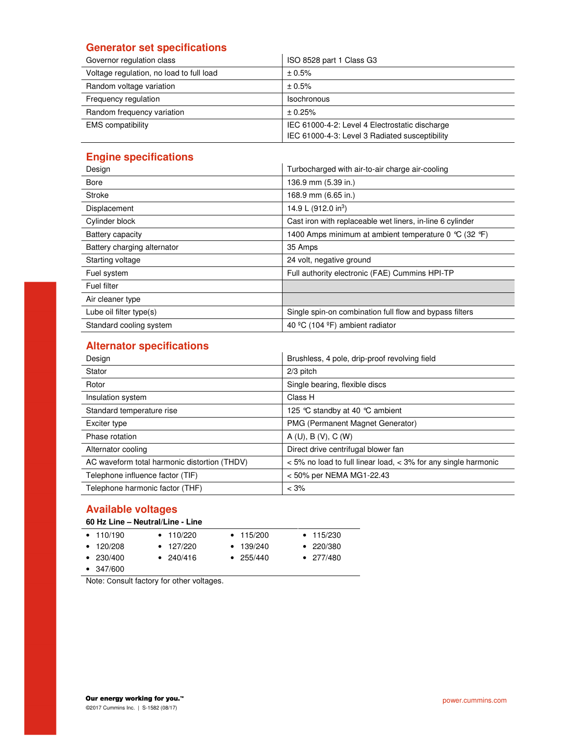## **Generator set specifications**

| Governor regulation class                | ISO 8528 part 1 Class G3                                                                         |
|------------------------------------------|--------------------------------------------------------------------------------------------------|
| Voltage regulation, no load to full load | ± 0.5%                                                                                           |
| Random voltage variation                 | ± 0.5%                                                                                           |
| Frequency regulation                     | <b>Isochronous</b>                                                                               |
| Random frequency variation               | ± 0.25%                                                                                          |
| <b>EMS</b> compatibility                 | IEC 61000-4-2: Level 4 Electrostatic discharge<br>IEC 61000-4-3: Level 3 Radiated susceptibility |

## **Engine specifications**

| <b>Light Specifications</b> |                                                                         |
|-----------------------------|-------------------------------------------------------------------------|
| Design                      | Turbocharged with air-to-air charge air-cooling                         |
| <b>Bore</b>                 | 136.9 mm (5.39 in.)                                                     |
| Stroke                      | 168.9 mm (6.65 in.)                                                     |
| Displacement                | 14.9 L (912.0 in <sup>3</sup> )                                         |
| Cylinder block              | Cast iron with replaceable wet liners, in-line 6 cylinder               |
| Battery capacity            | 1400 Amps minimum at ambient temperature 0 $\degree$ C (32 $\degree$ F) |
| Battery charging alternator | 35 Amps                                                                 |
| Starting voltage            | 24 volt, negative ground                                                |
| Fuel system                 | Full authority electronic (FAE) Cummins HPI-TP                          |
| Fuel filter                 |                                                                         |
| Air cleaner type            |                                                                         |
| Lube oil filter type(s)     | Single spin-on combination full flow and bypass filters                 |
| Standard cooling system     | 40 °C (104 °F) ambient radiator                                         |

## **Alternator specifications**

| Design                                       | Brushless, 4 pole, drip-proof revolving field                      |
|----------------------------------------------|--------------------------------------------------------------------|
| Stator                                       | $2/3$ pitch                                                        |
| Rotor                                        | Single bearing, flexible discs                                     |
| Insulation system                            | Class H                                                            |
| Standard temperature rise                    | 125 °C standby at 40 °C ambient                                    |
| Exciter type                                 | PMG (Permanent Magnet Generator)                                   |
| Phase rotation                               | A(U), B(V), C(W)                                                   |
| Alternator cooling                           | Direct drive centrifugal blower fan                                |
| AC waveform total harmonic distortion (THDV) | $<$ 5% no load to full linear load, $<$ 3% for any single harmonic |
| Telephone influence factor (TIF)             | < 50% per NEMA MG1-22.43                                           |
| Telephone harmonic factor (THF)              | $< 3\%$                                                            |

## **Available voltages**

| 60 Hz Line - Neutral/Line - Line |                 |                   |                   |  |  |
|----------------------------------|-----------------|-------------------|-------------------|--|--|
| $\bullet$ 110/190                | $\cdot$ 110/220 | $\cdot$ 115/200   | $\bullet$ 115/230 |  |  |
| $\cdot$ 120/208                  | $\cdot$ 127/220 | $\bullet$ 139/240 | $\bullet$ 220/380 |  |  |
| $\bullet$ 230/400                | • $240/416$     | $\bullet$ 255/440 | $\bullet$ 277/480 |  |  |
| $\bullet$ 347/600                |                 |                   |                   |  |  |

Note: Consult factory for other voltages.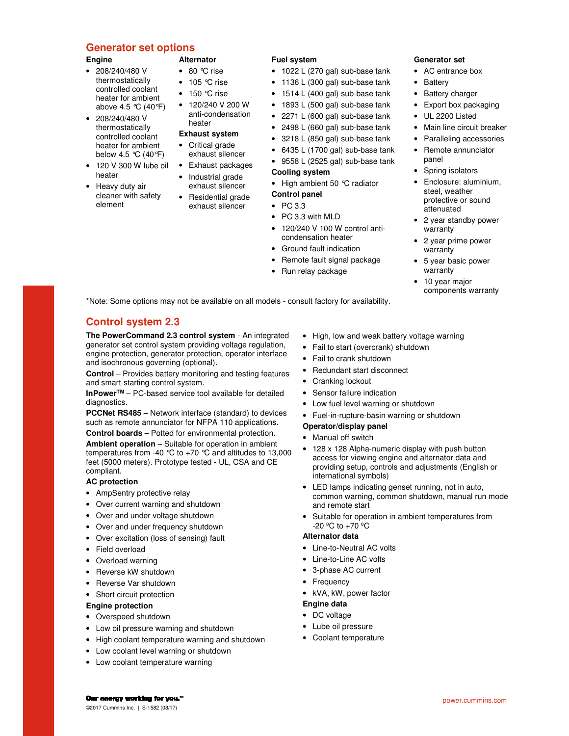#### **Generator set options**

#### **Engine**

- 208/240/480 V thermostatically controlled coolant heater for ambient above 4.5 °C (40°F)
- 208/240/480 V thermostatically controlled coolant heater for ambient below 4.5 °C (40°F)
- 120 V 300 W lube oil heater
- Heavy duty air cleaner with safety element

- 80 °C rise
- 105 °C rise
- 150 °C rise

**Alternator** 

- 120/240 V 200 W
- anti-condensation heater

## **Exhaust system**

- Critical grade exhaust silencer
- Exhaust packages
- Industrial grade exhaust silencer
- Residential grade exhaust silencer

#### **Fuel system**

- 1022 L (270 gal) sub-base tank
- 1136 L (300 gal) sub-base tank
- 1514 L (400 gal) sub-base tank
- 1893 L (500 gal) sub-base tank
- 2271 L (600 gal) sub-base tank
- 2498 L (660 gal) sub-base tank
- 3218 L (850 gal) sub-base tank
- 6435 L (1700 gal) sub-base tank
- 9558 L (2525 gal) sub-base tank

#### **Cooling system**

- High ambient 50 °C radiator
- **Control panel**
- PC 3.3
- PC 3.3 with MLD
- 120/240 V 100 W control anticondensation heater
- Ground fault indication
- Remote fault signal package
- Run relay package
- **Generator set**
- AC entrance box
- Battery
- **Battery charger**
- Export box packaging
- UL 2200 Listed
- Main line circuit breaker
- Paralleling accessories
- Remote annunciator panel
- Spring isolators
- Enclosure: aluminium, steel, weather protective or sound attenuated
- 2 year standby power warranty
- 2 year prime power warranty
- 5 year basic power warranty
- 10 year major components warranty

power.cummins.com

\*Note: Some options may not be available on all models - consult factory for availability.

## **Control system 2.3**

**The PowerCommand 2.3 control system** - An integrated generator set control system providing voltage regulation, engine protection, generator protection, operator interface and isochronous governing (optional).

**Control** – Provides battery monitoring and testing features and smart-starting control system.

**InPowerTM** – PC-based service tool available for detailed diagnostics.

**PCCNet RS485** – Network interface (standard) to devices such as remote annunciator for NFPA 110 applications.

**Control boards** – Potted for environmental protection.

**Ambient operation** – Suitable for operation in ambient temperatures from -40  $^{\circ}$ C to +70  $^{\circ}$ C and altitudes to 13,000 feet (5000 meters). Prototype tested - UL, CSA and CE compliant.

#### **AC protection**

- AmpSentry protective relay
- Over current warning and shutdown
- Over and under voltage shutdown
- Over and under frequency shutdown
- Over excitation (loss of sensing) fault
- Field overload
- Overload warning
- Reverse kW shutdown
- Reverse Var shutdown
- Short circuit protection

#### **Engine protection**

- Overspeed shutdown
- Low oil pressure warning and shutdown
- High coolant temperature warning and shutdown
- Low coolant level warning or shutdown
- Low coolant temperature warning
- High, low and weak battery voltage warning
- Fail to start (overcrank) shutdown
- Fail to crank shutdown
- Redundant start disconnect
- Cranking lockout
- Sensor failure indication
- Low fuel level warning or shutdown
- Fuel-in-rupture-basin warning or shutdown
- **Operator/display panel**
- Manual off switch
- 128 x 128 Alpha-numeric display with push button access for viewing engine and alternator data and providing setup, controls and adjustments (English or international symbols)
- LED lamps indicating genset running, not in auto, common warning, common shutdown, manual run mode and remote start
- Suitable for operation in ambient temperatures from  $-20 °C$  to  $+70 °C$

#### **Alternator data**

- Line-to-Neutral AC volts
- Line-to-Line AC volts
- 3-phase AC current
- Frequency
	- kVA, kW, power factor

#### **Engine data**

- DC voltage
- Lube oil pressure
- Coolant temperature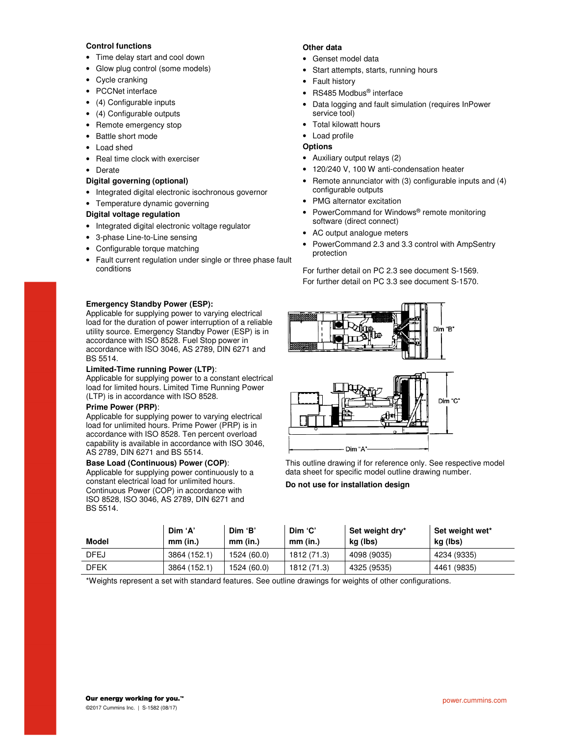#### **Control functions**

- Time delay start and cool down
- Glow plug control (some models)
- Cycle cranking
- PCCNet interface
- (4) Configurable inputs
- (4) Configurable outputs
- Remote emergency stop
- Battle short mode
- Load shed
- Real time clock with exerciser
- Derate

#### **Digital governing (optional)**

- Integrated digital electronic isochronous governor
- Temperature dynamic governing

#### **Digital voltage regulation**

- Integrated digital electronic voltage regulator
- 3-phase Line-to-Line sensing
- Configurable torque matching
- Fault current regulation under single or three phase fault conditions

#### **Emergency Standby Power (ESP):**

Applicable for supplying power to varying electrical load for the duration of power interruption of a reliable utility source. Emergency Standby Power (ESP) is in accordance with ISO 8528. Fuel Stop power in accordance with ISO 3046, AS 2789, DIN 6271 and BS 5514.

#### **Limited-Time running Power (LTP)**:

Applicable for supplying power to a constant electrical load for limited hours. Limited Time Running Power (LTP) is in accordance with ISO 8528.

#### **Prime Power (PRP)**:

Applicable for supplying power to varying electrical load for unlimited hours. Prime Power (PRP) is in accordance with ISO 8528. Ten percent overload capability is available in accordance with ISO 3046, AS 2789, DIN 6271 and BS 5514.

#### **Base Load (Continuous) Power (COP)**:

Applicable for supplying power continuously to a constant electrical load for unlimited hours. Continuous Power (COP) in accordance with ISO 8528, ISO 3046, AS 2789, DIN 6271 and BS 5514.

#### **Other data**

- Genset model data
- Start attempts, starts, running hours
- Fault history
- RS485 Modbus<sup>®</sup> interface
- Data logging and fault simulation (requires InPower service tool)
- Total kilowatt hours

#### • Load profile

#### **Options**

- Auxiliary output relays (2)
- 120/240 V, 100 W anti-condensation heater
- Remote annunciator with (3) configurable inputs and (4) configurable outputs
- PMG alternator excitation
- PowerCommand for Windows<sup>®</sup> remote monitoring software (direct connect)
- AC output analogue meters
- PowerCommand 2.3 and 3.3 control with AmpSentry protection

For further detail on PC 2.3 see document S-1569. For further detail on PC 3.3 see document S-1570.



This outline drawing if for reference only. See respective model data sheet for specific model outline drawing number.

#### **Do not use for installation design**

| <b>Model</b> | Dim 'A'<br>mm (in.) | Dim 'B'<br>mm (in.) | Dim 'C'<br>mm (in.) | Set weight dry*<br>kg (lbs) | Set weight wet*<br>kg (lbs) |
|--------------|---------------------|---------------------|---------------------|-----------------------------|-----------------------------|
| <b>DFEJ</b>  | 3864 (152.1)        | 1524 (60.0)         | 1812 (71.3)         | 4098 (9035)                 | 4234 (9335)                 |
| <b>DFEK</b>  | 3864 (152.1)        | 1524 (60.0)         | 1812 (71.3)         | 4325 (9535)                 | 4461 (9835)                 |

\*Weights represent a set with standard features. See outline drawings for weights of other configurations.